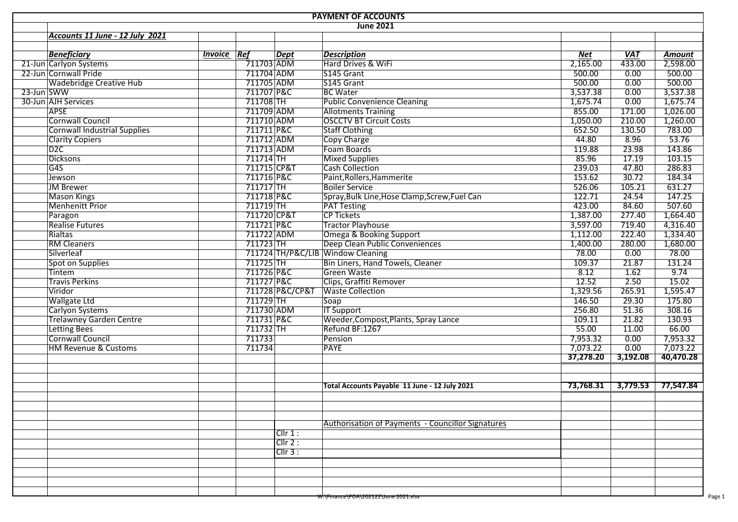| <b>PAYMENT OF ACCOUNTS</b>          |                    |                          |                 |                                                          |           |            |               |  |  |  |  |  |
|-------------------------------------|--------------------|--------------------------|-----------------|----------------------------------------------------------|-----------|------------|---------------|--|--|--|--|--|
|                                     |                    |                          |                 | <b>June 2021</b>                                         |           |            |               |  |  |  |  |  |
| Accounts 11 June - 12 July 2021     |                    |                          |                 |                                                          |           |            |               |  |  |  |  |  |
|                                     |                    |                          |                 |                                                          |           |            |               |  |  |  |  |  |
| <b>Beneficiary</b>                  | <b>Invoice Ref</b> |                          | <b>Dept</b>     | <b>Description</b>                                       | Net       | <b>VAT</b> | <b>Amount</b> |  |  |  |  |  |
| 21-Jun Carlyon Systems              |                    | $\overline{7}$ 11703 ADM |                 | Hard Drives & WiFi                                       | 2,165.00  | 433.00     | 2,598.00      |  |  |  |  |  |
| 22-Jun Cornwall Pride               |                    | 711704 ADM               |                 | S145 Grant                                               | 500.00    | 0.00       | 500.00        |  |  |  |  |  |
| <b>Wadebridge Creative Hub</b>      |                    | 711705 ADM               |                 | S145 Grant                                               | 500.00    | 0.00       | 500.00        |  |  |  |  |  |
| 23-Jun SWW                          |                    | 711707 P&C               |                 | <b>BC</b> Water                                          | 3,537.38  | 0.00       | 3,537.38      |  |  |  |  |  |
| 30-Jun AJH Services                 |                    | 711708 TH                |                 | <b>Public Convenience Cleaning</b>                       | 1,675.74  | 0.00       | 1,675.74      |  |  |  |  |  |
| <b>APSE</b>                         |                    | 711709 ADM               |                 | <b>Allotments Training</b>                               | 855.00    | 171.00     | 1,026.00      |  |  |  |  |  |
| <b>Cornwall Council</b>             |                    | 711710 ADM               |                 | <b>OSCCTV BT Circuit Costs</b>                           | 1,050.00  | 210.00     | 1,260.00      |  |  |  |  |  |
| <b>Cornwall Industrial Supplies</b> |                    | 711711 P&C               |                 | <b>Staff Clothing</b>                                    | 652.50    | 130.50     | 783.00        |  |  |  |  |  |
| <b>Clarity Copiers</b>              |                    | 711712 ADM               |                 | <b>Copy Charge</b>                                       | 44.80     | 8.96       | 53.76         |  |  |  |  |  |
| D2C                                 |                    | 711713 ADM               |                 | Foam Boards                                              | 119.88    | 23.98      | 143.86        |  |  |  |  |  |
| <b>Dicksons</b>                     |                    | $711714$ TH              |                 | <b>Mixed Supplies</b>                                    | 85.96     | 17.19      | 103.15        |  |  |  |  |  |
| G45                                 |                    | 711715 CP&T              |                 | <b>Cash Collection</b>                                   | 239.03    | 47.80      | 286.83        |  |  |  |  |  |
| Jewson                              |                    | 711716 P&C               |                 | Paint, Rollers, Hammerite                                | 153.62    | 30.72      | 184.34        |  |  |  |  |  |
| <b>JM Brewer</b>                    |                    | $711717$ TH              |                 | <b>Boiler Service</b>                                    | 526.06    | 105.21     | 631.27        |  |  |  |  |  |
| <b>Mason Kings</b>                  |                    | 711718 P&C               |                 | Spray, Bulk Line, Hose Clamp, Screw, Fuel Can            | 122.71    | 24.54      | 147.25        |  |  |  |  |  |
| <b>Menhenitt Prior</b>              |                    | $711719$ TH              |                 | <b>PAT Testing</b>                                       | 423.00    | 84.60      | 507.60        |  |  |  |  |  |
| Paragon                             |                    | 711720 CP&T              |                 | <b>CP Tickets</b>                                        | 1,387.00  | 277.40     | 1,664.40      |  |  |  |  |  |
| <b>Realise Futures</b>              |                    | 711721 P&C               |                 | <b>Tractor Playhouse</b>                                 | 3,597.00  | 719.40     | 4,316.40      |  |  |  |  |  |
| Rialtas                             |                    | 711722 ADM               |                 | <b>Omega &amp; Booking Support</b>                       | 1,112.00  | 222.40     | 1,334.40      |  |  |  |  |  |
| <b>RM Cleaners</b>                  |                    | 711723 TH                |                 | Deep Clean Public Conveniences                           | 1,400.00  | 280.00     | 1,680.00      |  |  |  |  |  |
| Silverleaf                          |                    |                          |                 | 711724 TH/P&C/LIB Window Cleaning                        | 78.00     | 0.00       | 78.00         |  |  |  |  |  |
| Spot on Supplies                    |                    | 711725 TH                |                 | Bin Liners, Hand Towels, Cleaner                         | 109.37    | 21.87      | 131.24        |  |  |  |  |  |
| Tintem                              |                    | 711726 P&C               |                 | Green Waste                                              | 8.12      | 1.62       | 9.74          |  |  |  |  |  |
| <b>Travis Perkins</b>               |                    | 711727 P&C               |                 | Clips, Graffiti Remover                                  | 12.52     | 2.50       | 15.02         |  |  |  |  |  |
| Viridor                             |                    |                          | 711728 P&C/CP&T | <b>Waste Collection</b>                                  | 1,329.56  | 265.91     | 1,595.47      |  |  |  |  |  |
| <b>Wallgate Ltd</b>                 |                    | 711729 TH                |                 | Soap                                                     | 146.50    | 29.30      | 175.80        |  |  |  |  |  |
| Carlyon Systems                     |                    | 711730 ADM               |                 | <b>IT Support</b>                                        | 256.80    | 51.36      | 308.16        |  |  |  |  |  |
| <b>Trelawney Garden Centre</b>      |                    | 711731 P&C               |                 | Weeder, Compost, Plants, Spray Lance                     | 109.11    | 21.82      | 130.93        |  |  |  |  |  |
| Letting Bees<br>Cornwall Council    |                    | $711732$ TH              |                 | Refund BF:1267                                           | 55.00     | 11.00      | 66.00         |  |  |  |  |  |
|                                     |                    | 711733                   |                 | Pension                                                  | 7,953.32  | 0.00       | 7,953.32      |  |  |  |  |  |
| <b>HM Revenue &amp; Customs</b>     |                    | 711734                   |                 | <b>PAYE</b>                                              | 7,073.22  | 0.00       | 7,073.22      |  |  |  |  |  |
|                                     |                    |                          |                 |                                                          | 37,278.20 | 3,192.08   | 40,470.28     |  |  |  |  |  |
|                                     |                    |                          |                 | Total Accounts Payable 11 June - 12 July 2021            | 73,768.31 | 3,779.53   | 77,547.84     |  |  |  |  |  |
|                                     |                    |                          |                 |                                                          |           |            |               |  |  |  |  |  |
|                                     |                    |                          |                 | <b>Authorisation of Payments - Councillor Signatures</b> |           |            |               |  |  |  |  |  |
|                                     |                    |                          | Cllr 1:         |                                                          |           |            |               |  |  |  |  |  |
|                                     |                    |                          | Clir 2:         |                                                          |           |            |               |  |  |  |  |  |
|                                     |                    |                          | ClIr 3:         |                                                          |           |            |               |  |  |  |  |  |
|                                     |                    |                          |                 |                                                          |           |            |               |  |  |  |  |  |
|                                     |                    |                          |                 |                                                          |           |            |               |  |  |  |  |  |
|                                     |                    |                          |                 |                                                          |           |            |               |  |  |  |  |  |
|                                     |                    |                          |                 | w:\Finance\POA\202122\June 2021.xisx                     |           |            |               |  |  |  |  |  |